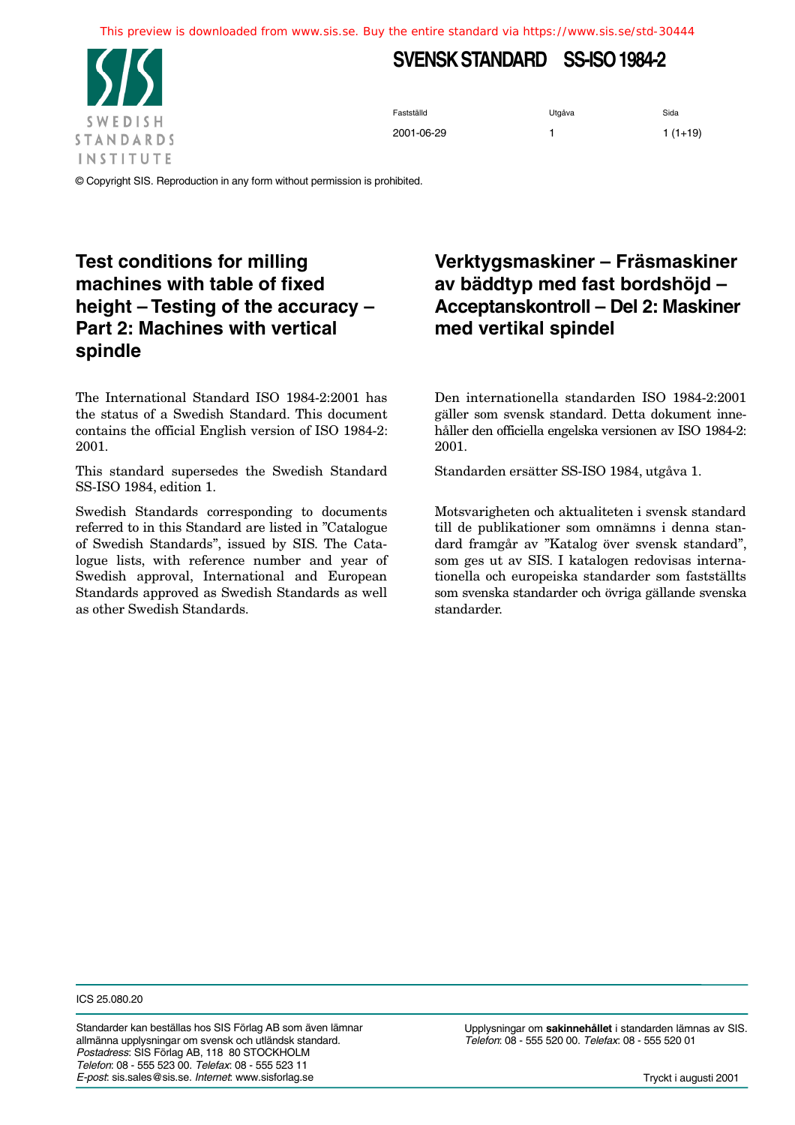This preview is downloaded from www.sis.se. Buy the entire standard via https://www.sis.se/std-30444



# **SVENSK STANDARD SS-ISO 1984-2**

Fastställd Sida<br>
Sida 2001-06-29 1 1 (1+19)

© Copyright SIS. Reproduction in any form without permission is prohibited.

## **Test conditions for milling machines with table of fixed height – Testing of the accuracy – Part 2: Machines with vertical spindle**

The International Standard ISO 1984-2:2001 has the status of a Swedish Standard. This document contains the official English version of ISO 1984-2: 2001.

This standard supersedes the Swedish Standard SS-ISO 1984, edition 1.

Swedish Standards corresponding to documents referred to in this Standard are listed in "Catalogue of Swedish Standards", issued by SIS. The Catalogue lists, with reference number and year of Swedish approval, International and European Standards approved as Swedish Standards as well as other Swedish Standards.

## **Verktygsmaskiner – Fräsmaskiner av bäddtyp med fast bordshöjd – Acceptanskontroll – Del 2: Maskiner med vertikal spindel**

Den internationella standarden ISO 1984-2:2001 gäller som svensk standard. Detta dokument innehåller den officiella engelska versionen av ISO 1984-2: 2001.

Standarden ersätter SS-ISO 1984, utgåva 1.

Motsvarigheten och aktualiteten i svensk standard till de publikationer som omnämns i denna standard framgår av "Katalog över svensk standard", som ges ut av SIS. I katalogen redovisas internationella och europeiska standarder som fastställts som svenska standarder och övriga gällande svenska standarder.

ICS 25.080.20

Standarder kan beställas hos SIS Förlag AB som även lämnar allmänna upplysningar om svensk och utländsk standard. *Postadress*: SIS Förlag AB, 118 80 STOCKHOLM *Telefon*: 08 - 555 523 00. *Telefax*: 08 - 555 523 11 *E-post*: sis.sales@sis.se. *Internet*: www.sisforlag.se

Upplysningar om **sakinnehållet** i standarden lämnas av SIS. *Telefon*: 08 - 555 520 00. *Telefax*: 08 - 555 520 01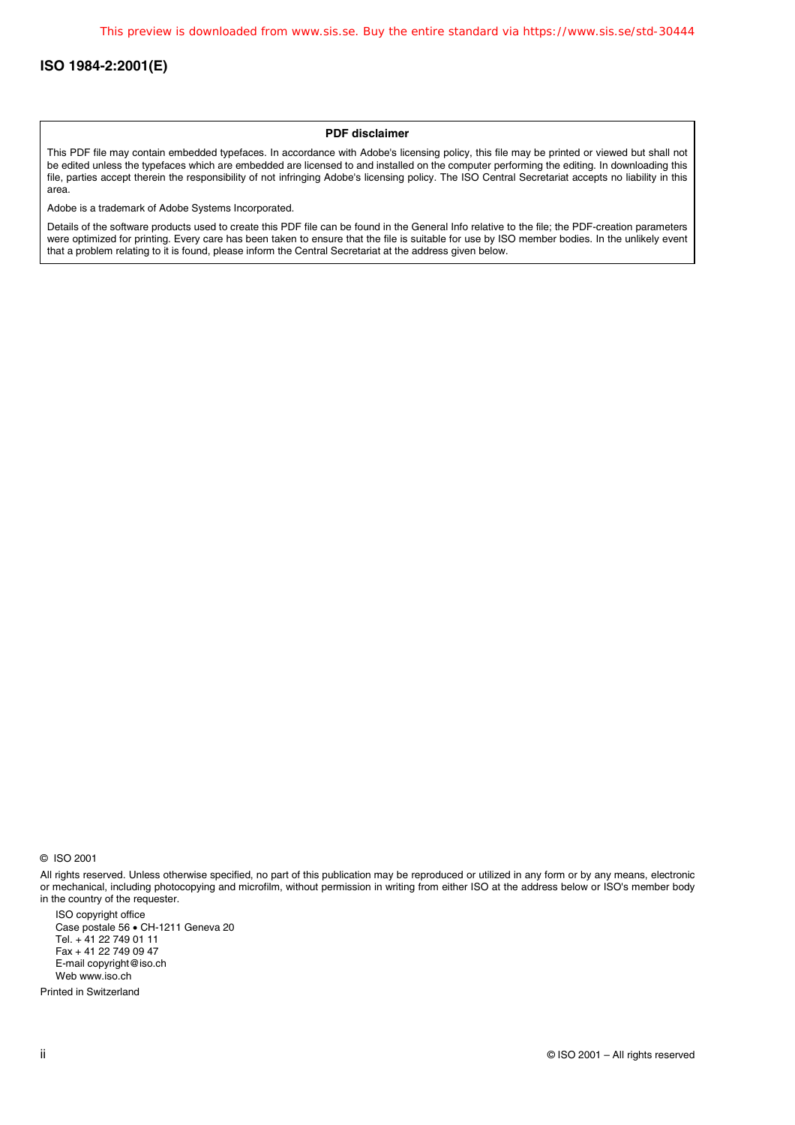#### **PDF disclaimer**

This PDF file may contain embedded typefaces. In accordance with Adobe's licensing policy, this file may be printed or viewed but shall not be edited unless the typefaces which are embedded are licensed to and installed on the computer performing the editing. In downloading this file, parties accept therein the responsibility of not infringing Adobe's licensing policy. The ISO Central Secretariat accepts no liability in this area.

Adobe is a trademark of Adobe Systems Incorporated.

Details of the software products used to create this PDF file can be found in the General Info relative to the file; the PDF-creation parameters were optimized for printing. Every care has been taken to ensure that the file is suitable for use by ISO member bodies. In the unlikely event that a problem relating to it is found, please inform the Central Secretariat at the address given below.

© ISO 2001

All rights reserved. Unless otherwise specified, no part of this publication may be reproduced or utilized in any form or by any means, electronic or mechanical, including photocopying and microfilm, without permission in writing from either ISO at the address below or ISO's member body in the country of the requester.

ISO copyright office Case postale 56 · CH-1211 Geneva 20 Tel. + 41 22 749 01 11 Fax + 41 22 749 09 47 E-mail copyright@iso.ch Web www.iso.ch

Printed in Switzerland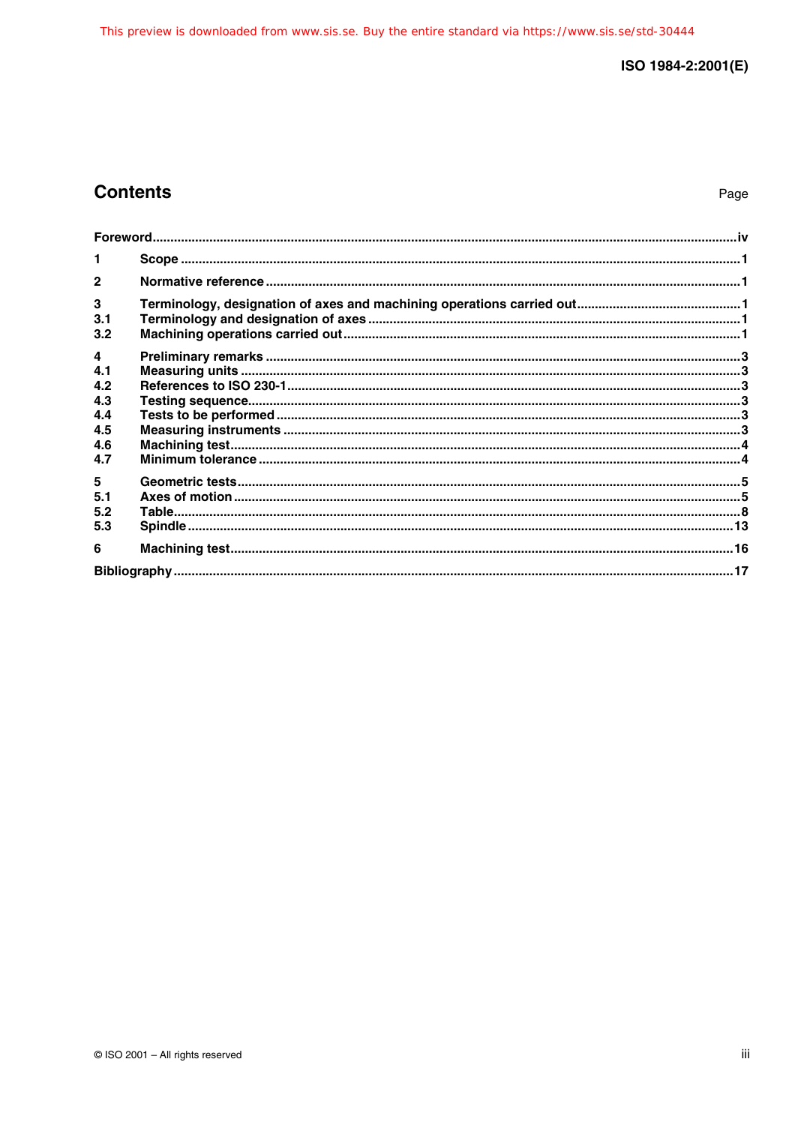## **Contents**

Page

| 1               |  |
|-----------------|--|
| $\mathbf{2}$    |  |
| 3<br>3.1<br>3.2 |  |
| 4               |  |
| 4.1<br>4.2      |  |
| 4.3<br>4.4      |  |
| 4.5             |  |
| 4.6<br>4.7      |  |
| 5               |  |
| 5.1<br>5.2      |  |
| 5.3             |  |
| 6               |  |
|                 |  |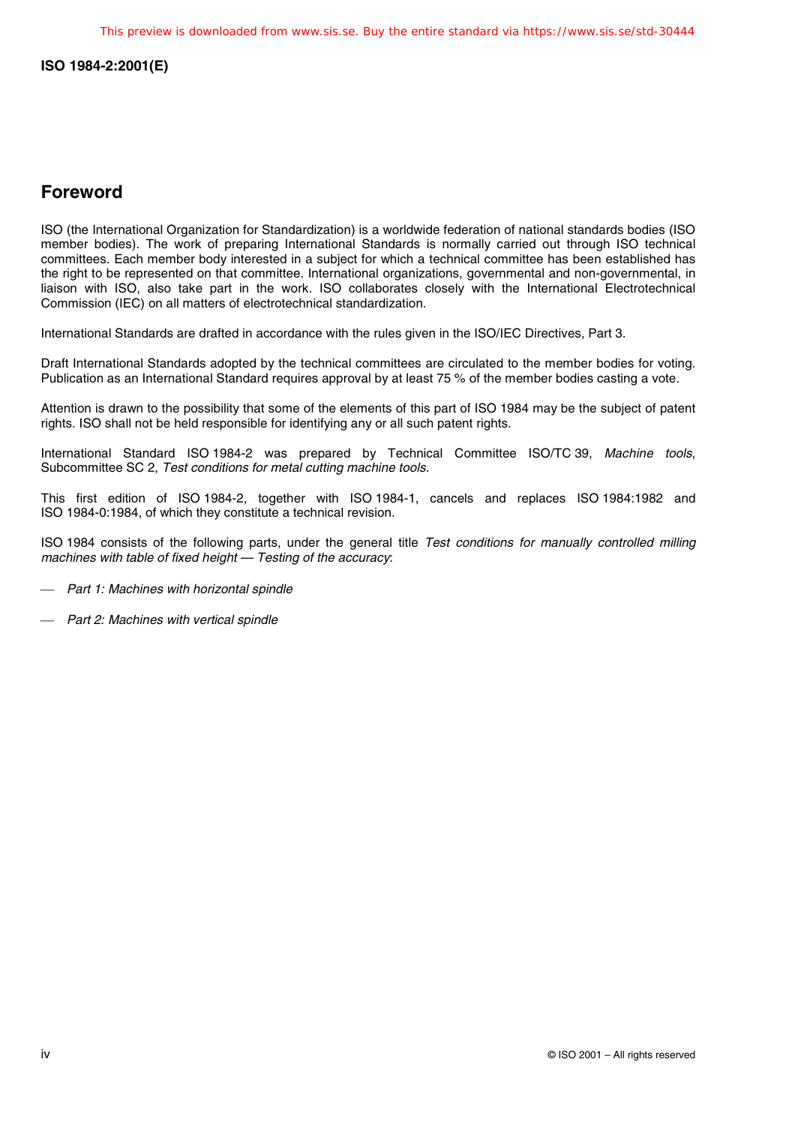## **Foreword**

ISO (the International Organization for Standardization) is a worldwide federation of national standards bodies (ISO member bodies). The work of preparing International Standards is normally carried out through ISO technical committees. Each member body interested in a subject for which a technical committee has been established has the right to be represented on that committee. International organizations, governmental and non-governmental, in liaison with ISO, also take part in the work. ISO collaborates closely with the International Electrotechnical Commission (IEC) on all matters of electrotechnical standardization.

International Standards are drafted in accordance with the rules given in the ISO/IEC Directives, Part 3.

Draft International Standards adopted by the technical committees are circulated to the member bodies for voting. Publication as an International Standard requires approval by at least 75 % of the member bodies casting a vote.

Attention is drawn to the possibility that some of the elements of this part of ISO 1984 may be the subject of patent rights. ISO shall not be held responsible for identifying any or all such patent rights.

International Standard ISO 1984-2 was prepared by Technical Committee ISO/TC 39, Machine tools, Subcommittee SC 2, Test conditions for metal cutting machine tools.

This first edition of ISO 1984-2, together with ISO 1984-1, cancels and replaces ISO 1984:1982 and ISO 1984-0:1984, of which they constitute a technical revision.

ISO 1984 consists of the following parts, under the general title Test conditions for manually controlled milling machines with table of fixed height — Testing of the accuracy:

- Part 1: Machines with horizontal spindle

- Part 2: Machines with vertical spindle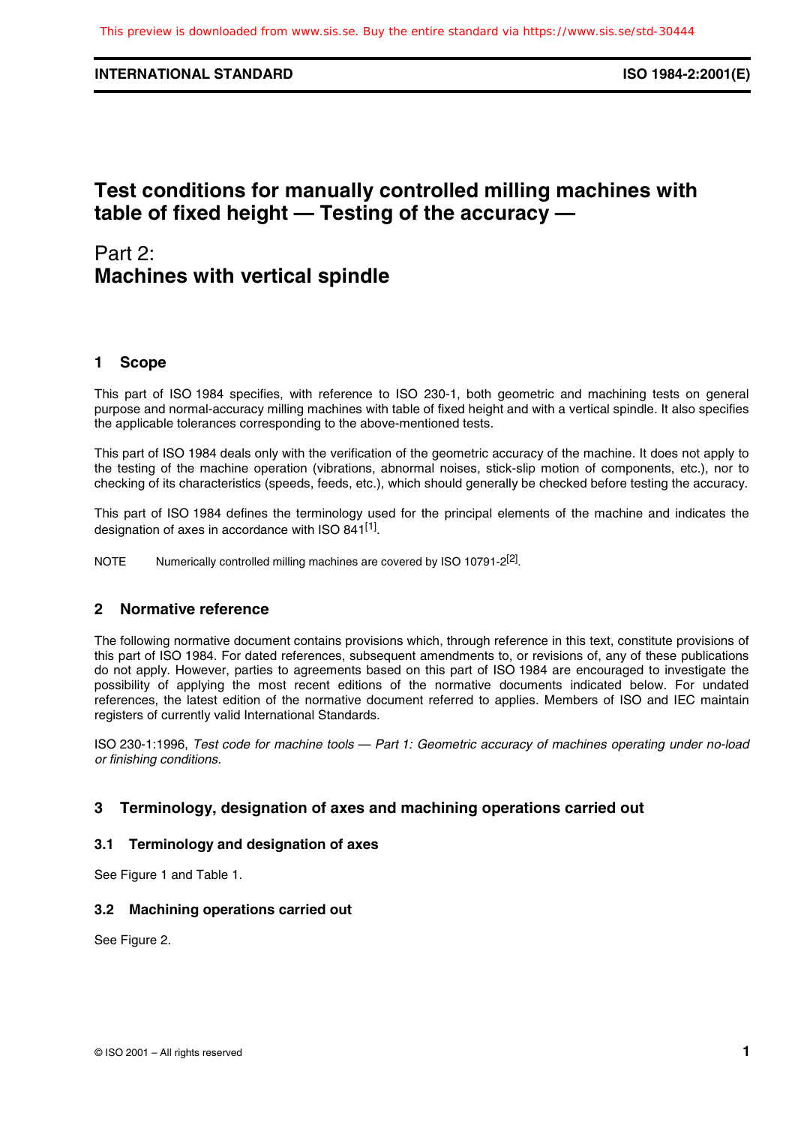#### **INTERNATIONAL STANDARD ISO 1984-2:2001(E)**

## **Test conditions for manually controlled milling machines with table of fixed height — Testing of the accuracy —**

## Part 2: **Machines with vertical spindle**

## **1 Scope**

This part of ISO 1984 specifies, with reference to ISO 230-1, both geometric and machining tests on general purpose and normal-accuracy milling machines with table of fixed height and with a vertical spindle. It also specifies the applicable tolerances corresponding to the above-mentioned tests.

This part of ISO 1984 deals only with the verification of the geometric accuracy of the machine. It does not apply to the testing of the machine operation (vibrations, abnormal noises, stick-slip motion of components, etc.), nor to checking of its characteristics (speeds, feeds, etc.), which should generally be checked before testing the accuracy.

This part of ISO 1984 defines the terminology used for the principal elements of the machine and indicates the designation of axes in accordance with ISO 841<sup>[1]</sup>.

NOTE Numerically controlled milling machines are covered by ISO 10791-2<sup>[2]</sup>.

## **2 Normative reference**

The following normative document contains provisions which, through reference in this text, constitute provisions of this part of ISO 1984. For dated references, subsequent amendments to, or revisions of, any of these publications do not apply. However, parties to agreements based on this part of ISO 1984 are encouraged to investigate the possibility of applying the most recent editions of the normative documents indicated below. For undated references, the latest edition of the normative document referred to applies. Members of ISO and IEC maintain registers of currently valid International Standards.

ISO 230-1:1996, Test code for machine tools — Part 1: Geometric accuracy of machines operating under no-load or finishing conditions.

## **3 Terminology, designation of axes and machining operations carried out**

#### **3.1 Terminology and designation of axes**

See Figure 1 and Table 1.

#### **3.2 Machining operations carried out**

See Figure 2.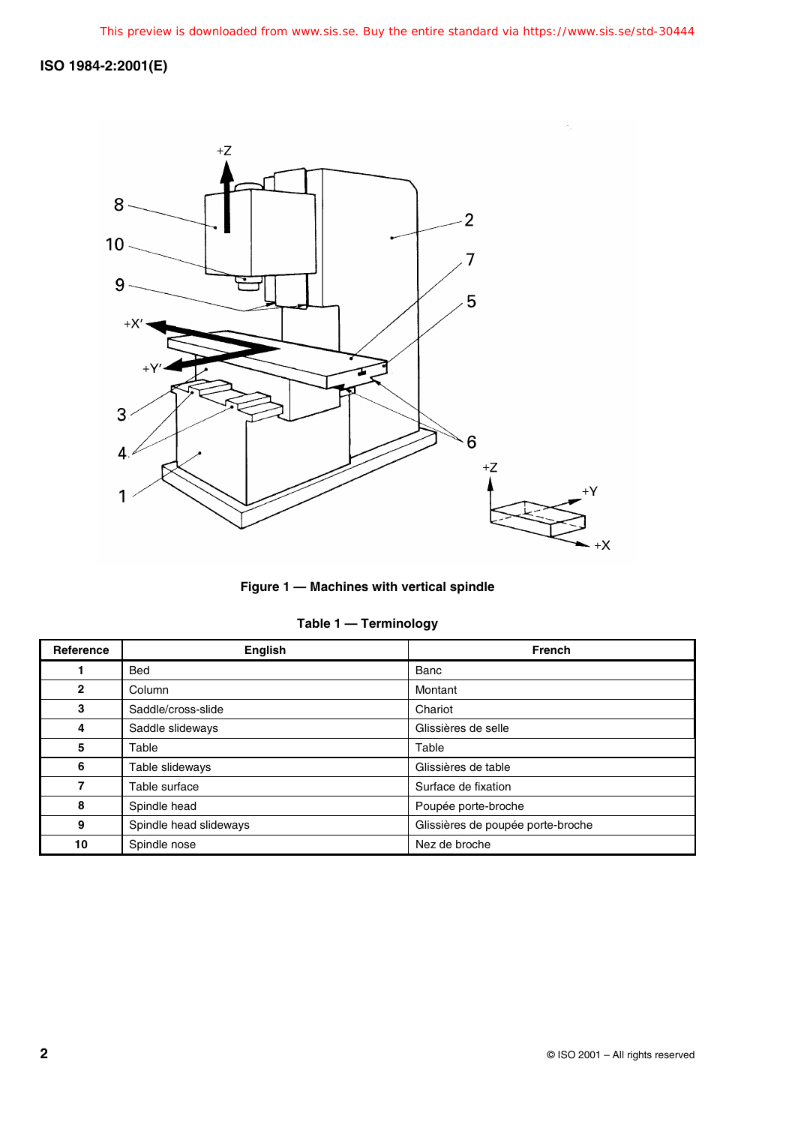

**Figure 1 — Machines with vertical spindle**

|  | Table 1 | <b>Terminology</b> |
|--|---------|--------------------|
|--|---------|--------------------|

| Reference    | English                | <b>French</b>                     |
|--------------|------------------------|-----------------------------------|
|              | <b>Bed</b>             | Banc                              |
| $\mathbf{2}$ | Column                 | Montant                           |
| 3            | Saddle/cross-slide     | Chariot                           |
| 4            | Saddle slideways       | Glissières de selle               |
| 5            | Table                  | Table                             |
| 6            | Table slideways        | Glissières de table               |
| 7            | Table surface          | Surface de fixation               |
| 8            | Spindle head           | Poupée porte-broche               |
| 9            | Spindle head slideways | Glissières de poupée porte-broche |
| 10           | Spindle nose           | Nez de broche                     |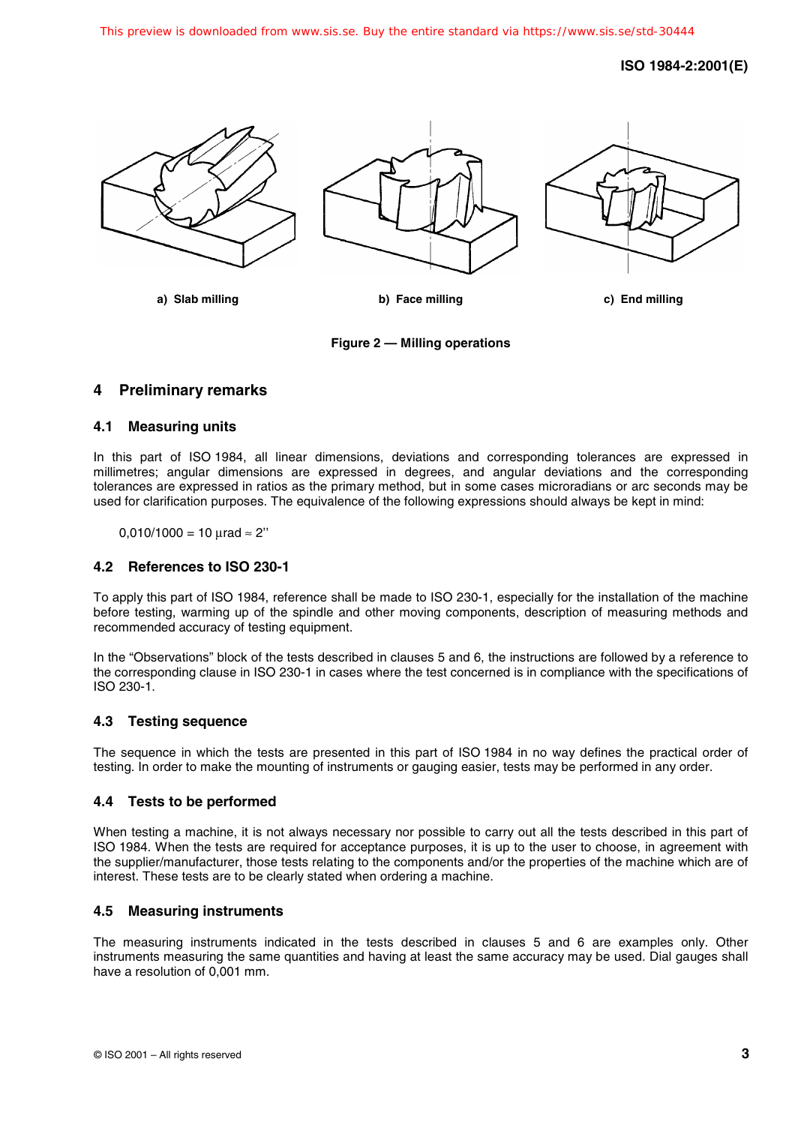

**a) Slab milling b) Face milling c) End milling**

**Figure 2 — Milling operations**

## **4 Preliminary remarks**

### **4.1 Measuring units**

In this part of ISO 1984, all linear dimensions, deviations and corresponding tolerances are expressed in millimetres; angular dimensions are expressed in degrees, and angular deviations and the corresponding tolerances are expressed in ratios as the primary method, but in some cases microradians or arc seconds may be used for clarification purposes. The equivalence of the following expressions should always be kept in mind:

 $0,010/1000 = 10 \mu$ rad  $\approx 2$ "

#### **4.2 References to ISO 230-1**

To apply this part of ISO 1984, reference shall be made to ISO 230-1, especially for the installation of the machine before testing, warming up of the spindle and other moving components, description of measuring methods and recommended accuracy of testing equipment.

In the "Observations" block of the tests described in clauses 5 and 6, the instructions are followed by a reference to the corresponding clause in ISO 230-1 in cases where the test concerned is in compliance with the specifications of ISO 230-1.

#### **4.3 Testing sequence**

The sequence in which the tests are presented in this part of ISO 1984 in no way defines the practical order of testing. In order to make the mounting of instruments or gauging easier, tests may be performed in any order.

## **4.4 Tests to be performed**

When testing a machine, it is not always necessary nor possible to carry out all the tests described in this part of ISO 1984. When the tests are required for acceptance purposes, it is up to the user to choose, in agreement with the supplier/manufacturer, those tests relating to the components and/or the properties of the machine which are of interest. These tests are to be clearly stated when ordering a machine.

## **4.5 Measuring instruments**

The measuring instruments indicated in the tests described in clauses 5 and 6 are examples only. Other instruments measuring the same quantities and having at least the same accuracy may be used. Dial gauges shall have a resolution of 0,001 mm.